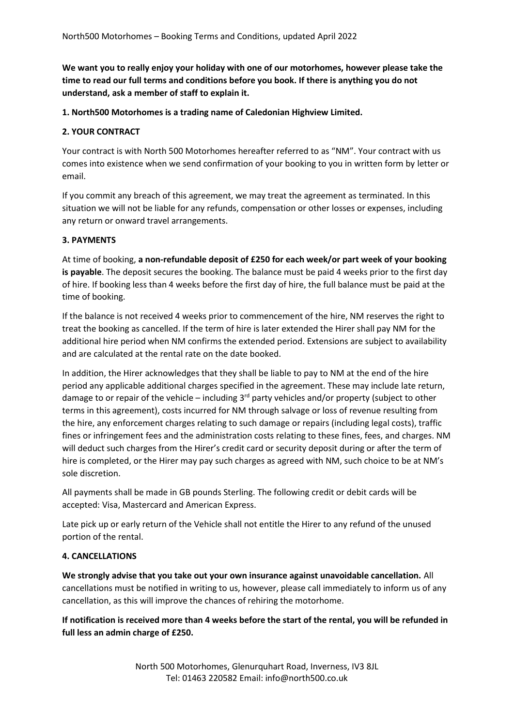**We want you to really enjoy your holiday with one of our motorhomes, however please take the time to read our full terms and conditions before you book. If there is anything you do not understand, ask a member of staff to explain it.** 

**1. North500 Motorhomes is a trading name of Caledonian Highview Limited.** 

#### **2. YOUR CONTRACT**

Your contract is with North 500 Motorhomes hereafter referred to as "NM". Your contract with us comes into existence when we send confirmation of your booking to you in written form by letter or email.

If you commit any breach of this agreement, we may treat the agreement as terminated. In this situation we will not be liable for any refunds, compensation or other losses or expenses, including any return or onward travel arrangements.

#### **3. PAYMENTS**

At time of booking, **a non-refundable deposit of £250 for each week/or part week of your booking is payable**. The deposit secures the booking. The balance must be paid 4 weeks prior to the first day of hire. If booking less than 4 weeks before the first day of hire, the full balance must be paid at the time of booking.

If the balance is not received 4 weeks prior to commencement of the hire, NM reserves the right to treat the booking as cancelled. If the term of hire is later extended the Hirer shall pay NM for the additional hire period when NM confirms the extended period. Extensions are subject to availability and are calculated at the rental rate on the date booked.

In addition, the Hirer acknowledges that they shall be liable to pay to NM at the end of the hire period any applicable additional charges specified in the agreement. These may include late return, damage to or repair of the vehicle – including  $3<sup>rd</sup>$  party vehicles and/or property (subject to other terms in this agreement), costs incurred for NM through salvage or loss of revenue resulting from the hire, any enforcement charges relating to such damage or repairs (including legal costs), traffic fines or infringement fees and the administration costs relating to these fines, fees, and charges. NM will deduct such charges from the Hirer's credit card or security deposit during or after the term of hire is completed, or the Hirer may pay such charges as agreed with NM, such choice to be at NM's sole discretion.

All payments shall be made in GB pounds Sterling. The following credit or debit cards will be accepted: Visa, Mastercard and American Express.

Late pick up or early return of the Vehicle shall not entitle the Hirer to any refund of the unused portion of the rental.

#### **4. CANCELLATIONS**

**We strongly advise that you take out your own insurance against unavoidable cancellation.** All cancellations must be notified in writing to us, however, please call immediately to inform us of any cancellation, as this will improve the chances of rehiring the motorhome.

**If notification is received more than 4 weeks before the start of the rental, you will be refunded in full less an admin charge of £250.**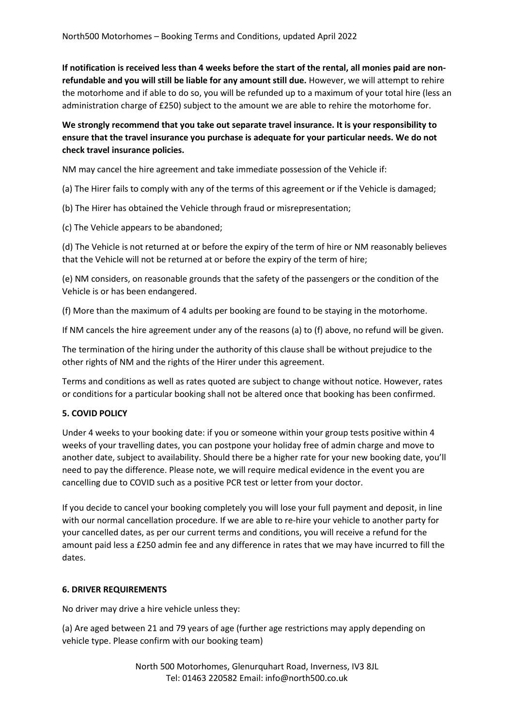**If notification is received less than 4 weeks before the start of the rental, all monies paid are nonrefundable and you will still be liable for any amount still due.** However, we will attempt to rehire the motorhome and if able to do so, you will be refunded up to a maximum of your total hire (less an administration charge of £250) subject to the amount we are able to rehire the motorhome for.

**We strongly recommend that you take out separate travel insurance. It is your responsibility to ensure that the travel insurance you purchase is adequate for your particular needs. We do not check travel insurance policies.** 

NM may cancel the hire agreement and take immediate possession of the Vehicle if:

(a) The Hirer fails to comply with any of the terms of this agreement or if the Vehicle is damaged;

(b) The Hirer has obtained the Vehicle through fraud or misrepresentation;

(c) The Vehicle appears to be abandoned;

(d) The Vehicle is not returned at or before the expiry of the term of hire or NM reasonably believes that the Vehicle will not be returned at or before the expiry of the term of hire;

(e) NM considers, on reasonable grounds that the safety of the passengers or the condition of the Vehicle is or has been endangered.

(f) More than the maximum of 4 adults per booking are found to be staying in the motorhome.

If NM cancels the hire agreement under any of the reasons (a) to (f) above, no refund will be given.

The termination of the hiring under the authority of this clause shall be without prejudice to the other rights of NM and the rights of the Hirer under this agreement.

Terms and conditions as well as rates quoted are subject to change without notice. However, rates or conditions for a particular booking shall not be altered once that booking has been confirmed.

# **5. COVID POLICY**

Under 4 weeks to your booking date: if you or someone within your group tests positive within 4 weeks of your travelling dates, you can postpone your holiday free of admin charge and move to another date, subject to availability. Should there be a higher rate for your new booking date, you'll need to pay the difference. Please note, we will require medical evidence in the event you are cancelling due to COVID such as a positive PCR test or letter from your doctor.

If you decide to cancel your booking completely you will lose your full payment and deposit, in line with our normal cancellation procedure. If we are able to re-hire your vehicle to another party for your cancelled dates, as per our current terms and conditions, you will receive a refund for the amount paid less a £250 admin fee and any difference in rates that we may have incurred to fill the dates.

#### **6. DRIVER REQUIREMENTS**

No driver may drive a hire vehicle unless they:

(a) Are aged between 21 and 79 years of age (further age restrictions may apply depending on vehicle type. Please confirm with our booking team)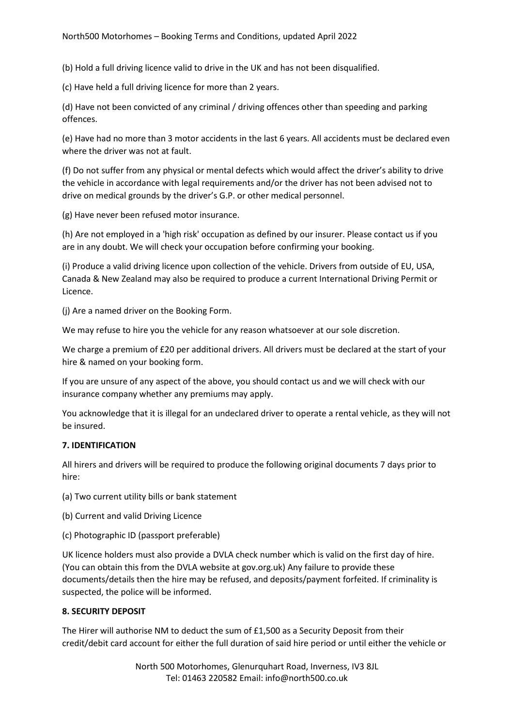(b) Hold a full driving licence valid to drive in the UK and has not been disqualified.

(c) Have held a full driving licence for more than 2 years.

(d) Have not been convicted of any criminal / driving offences other than speeding and parking offences.

(e) Have had no more than 3 motor accidents in the last 6 years. All accidents must be declared even where the driver was not at fault.

(f) Do not suffer from any physical or mental defects which would affect the driver's ability to drive the vehicle in accordance with legal requirements and/or the driver has not been advised not to drive on medical grounds by the driver's G.P. or other medical personnel.

(g) Have never been refused motor insurance.

(h) Are not employed in a 'high risk' occupation as defined by our insurer. Please contact us if you are in any doubt. We will check your occupation before confirming your booking.

(i) Produce a valid driving licence upon collection of the vehicle. Drivers from outside of EU, USA, Canada & New Zealand may also be required to produce a current International Driving Permit or Licence.

(j) Are a named driver on the Booking Form.

We may refuse to hire you the vehicle for any reason whatsoever at our sole discretion.

We charge a premium of £20 per additional drivers. All drivers must be declared at the start of your hire & named on your booking form.

If you are unsure of any aspect of the above, you should contact us and we will check with our insurance company whether any premiums may apply.

You acknowledge that it is illegal for an undeclared driver to operate a rental vehicle, as they will not be insured.

# **7. IDENTIFICATION**

All hirers and drivers will be required to produce the following original documents 7 days prior to hire:

(a) Two current utility bills or bank statement

- (b) Current and valid Driving Licence
- (c) Photographic ID (passport preferable)

UK licence holders must also provide a DVLA check number which is valid on the first day of hire. (You can obtain this from the DVLA website at gov.org.uk) Any failure to provide these documents/details then the hire may be refused, and deposits/payment forfeited. If criminality is suspected, the police will be informed.

#### **8. SECURITY DEPOSIT**

The Hirer will authorise NM to deduct the sum of £1,500 as a Security Deposit from their credit/debit card account for either the full duration of said hire period or until either the vehicle or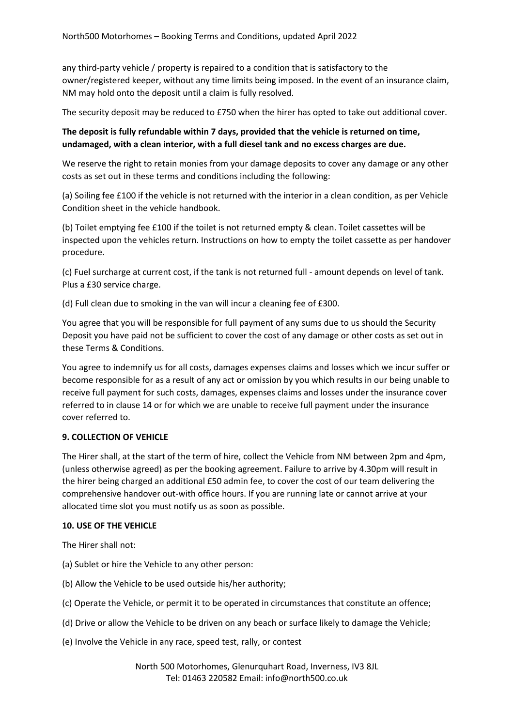any third-party vehicle / property is repaired to a condition that is satisfactory to the owner/registered keeper, without any time limits being imposed. In the event of an insurance claim, NM may hold onto the deposit until a claim is fully resolved.

The security deposit may be reduced to £750 when the hirer has opted to take out additional cover.

# **The deposit is fully refundable within 7 days, provided that the vehicle is returned on time, undamaged, with a clean interior, with a full diesel tank and no excess charges are due.**

We reserve the right to retain monies from your damage deposits to cover any damage or any other costs as set out in these terms and conditions including the following:

(a) Soiling fee £100 if the vehicle is not returned with the interior in a clean condition, as per Vehicle Condition sheet in the vehicle handbook.

(b) Toilet emptying fee £100 if the toilet is not returned empty & clean. Toilet cassettes will be inspected upon the vehicles return. Instructions on how to empty the toilet cassette as per handover procedure.

(c) Fuel surcharge at current cost, if the tank is not returned full - amount depends on level of tank. Plus a £30 service charge.

(d) Full clean due to smoking in the van will incur a cleaning fee of £300.

You agree that you will be responsible for full payment of any sums due to us should the Security Deposit you have paid not be sufficient to cover the cost of any damage or other costs as set out in these Terms & Conditions.

You agree to indemnify us for all costs, damages expenses claims and losses which we incur suffer or become responsible for as a result of any act or omission by you which results in our being unable to receive full payment for such costs, damages, expenses claims and losses under the insurance cover referred to in clause 14 or for which we are unable to receive full payment under the insurance cover referred to.

# **9. COLLECTION OF VEHICLE**

The Hirer shall, at the start of the term of hire, collect the Vehicle from NM between 2pm and 4pm, (unless otherwise agreed) as per the booking agreement. Failure to arrive by 4.30pm will result in the hirer being charged an additional £50 admin fee, to cover the cost of our team delivering the comprehensive handover out-with office hours. If you are running late or cannot arrive at your allocated time slot you must notify us as soon as possible.

#### **10. USE OF THE VEHICLE**

The Hirer shall not:

- (a) Sublet or hire the Vehicle to any other person:
- (b) Allow the Vehicle to be used outside his/her authority;
- (c) Operate the Vehicle, or permit it to be operated in circumstances that constitute an offence;
- (d) Drive or allow the Vehicle to be driven on any beach or surface likely to damage the Vehicle;
- (e) Involve the Vehicle in any race, speed test, rally, or contest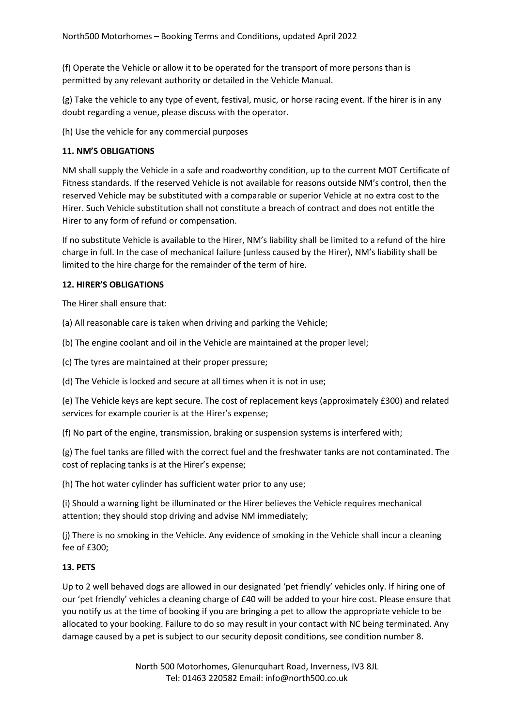(f) Operate the Vehicle or allow it to be operated for the transport of more persons than is permitted by any relevant authority or detailed in the Vehicle Manual.

(g) Take the vehicle to any type of event, festival, music, or horse racing event. If the hirer is in any doubt regarding a venue, please discuss with the operator.

(h) Use the vehicle for any commercial purposes

## **11. NM'S OBLIGATIONS**

NM shall supply the Vehicle in a safe and roadworthy condition, up to the current MOT Certificate of Fitness standards. If the reserved Vehicle is not available for reasons outside NM's control, then the reserved Vehicle may be substituted with a comparable or superior Vehicle at no extra cost to the Hirer. Such Vehicle substitution shall not constitute a breach of contract and does not entitle the Hirer to any form of refund or compensation.

If no substitute Vehicle is available to the Hirer, NM's liability shall be limited to a refund of the hire charge in full. In the case of mechanical failure (unless caused by the Hirer), NM's liability shall be limited to the hire charge for the remainder of the term of hire.

### **12. HIRER'S OBLIGATIONS**

The Hirer shall ensure that:

(a) All reasonable care is taken when driving and parking the Vehicle;

(b) The engine coolant and oil in the Vehicle are maintained at the proper level;

(c) The tyres are maintained at their proper pressure;

(d) The Vehicle is locked and secure at all times when it is not in use;

(e) The Vehicle keys are kept secure. The cost of replacement keys (approximately £300) and related services for example courier is at the Hirer's expense;

(f) No part of the engine, transmission, braking or suspension systems is interfered with;

(g) The fuel tanks are filled with the correct fuel and the freshwater tanks are not contaminated. The cost of replacing tanks is at the Hirer's expense;

(h) The hot water cylinder has sufficient water prior to any use;

(i) Should a warning light be illuminated or the Hirer believes the Vehicle requires mechanical attention; they should stop driving and advise NM immediately;

(j) There is no smoking in the Vehicle. Any evidence of smoking in the Vehicle shall incur a cleaning fee of £300;

# **13. PETS**

Up to 2 well behaved dogs are allowed in our designated 'pet friendly' vehicles only. If hiring one of our 'pet friendly' vehicles a cleaning charge of £40 will be added to your hire cost. Please ensure that you notify us at the time of booking if you are bringing a pet to allow the appropriate vehicle to be allocated to your booking. Failure to do so may result in your contact with NC being terminated. Any damage caused by a pet is subject to our security deposit conditions, see condition number 8.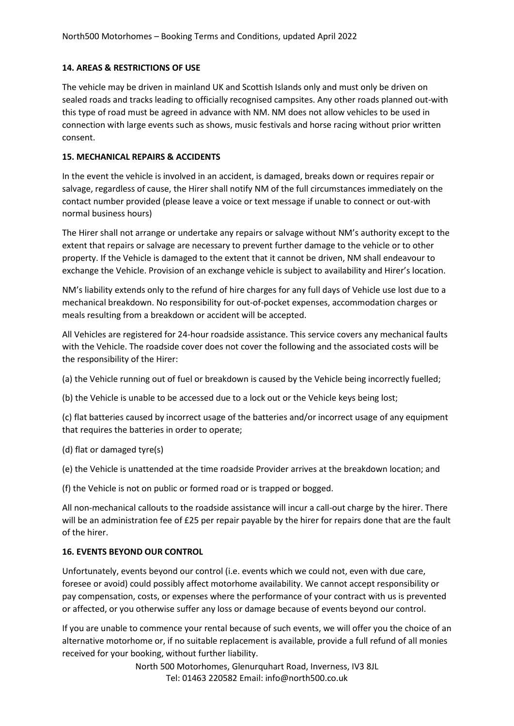## **14. AREAS & RESTRICTIONS OF USE**

The vehicle may be driven in mainland UK and Scottish Islands only and must only be driven on sealed roads and tracks leading to officially recognised campsites. Any other roads planned out-with this type of road must be agreed in advance with NM. NM does not allow vehicles to be used in connection with large events such as shows, music festivals and horse racing without prior written consent.

## **15. MECHANICAL REPAIRS & ACCIDENTS**

In the event the vehicle is involved in an accident, is damaged, breaks down or requires repair or salvage, regardless of cause, the Hirer shall notify NM of the full circumstances immediately on the contact number provided (please leave a voice or text message if unable to connect or out-with normal business hours)

The Hirer shall not arrange or undertake any repairs or salvage without NM's authority except to the extent that repairs or salvage are necessary to prevent further damage to the vehicle or to other property. If the Vehicle is damaged to the extent that it cannot be driven, NM shall endeavour to exchange the Vehicle. Provision of an exchange vehicle is subject to availability and Hirer's location.

NM's liability extends only to the refund of hire charges for any full days of Vehicle use lost due to a mechanical breakdown. No responsibility for out-of-pocket expenses, accommodation charges or meals resulting from a breakdown or accident will be accepted.

All Vehicles are registered for 24-hour roadside assistance. This service covers any mechanical faults with the Vehicle. The roadside cover does not cover the following and the associated costs will be the responsibility of the Hirer:

(a) the Vehicle running out of fuel or breakdown is caused by the Vehicle being incorrectly fuelled;

(b) the Vehicle is unable to be accessed due to a lock out or the Vehicle keys being lost;

(c) flat batteries caused by incorrect usage of the batteries and/or incorrect usage of any equipment that requires the batteries in order to operate;

(d) flat or damaged tyre(s)

(e) the Vehicle is unattended at the time roadside Provider arrives at the breakdown location; and

(f) the Vehicle is not on public or formed road or is trapped or bogged.

All non-mechanical callouts to the roadside assistance will incur a call-out charge by the hirer. There will be an administration fee of £25 per repair payable by the hirer for repairs done that are the fault of the hirer.

# **16. EVENTS BEYOND OUR CONTROL**

Unfortunately, events beyond our control (i.e. events which we could not, even with due care, foresee or avoid) could possibly affect motorhome availability. We cannot accept responsibility or pay compensation, costs, or expenses where the performance of your contract with us is prevented or affected, or you otherwise suffer any loss or damage because of events beyond our control.

If you are unable to commence your rental because of such events, we will offer you the choice of an alternative motorhome or, if no suitable replacement is available, provide a full refund of all monies received for your booking, without further liability.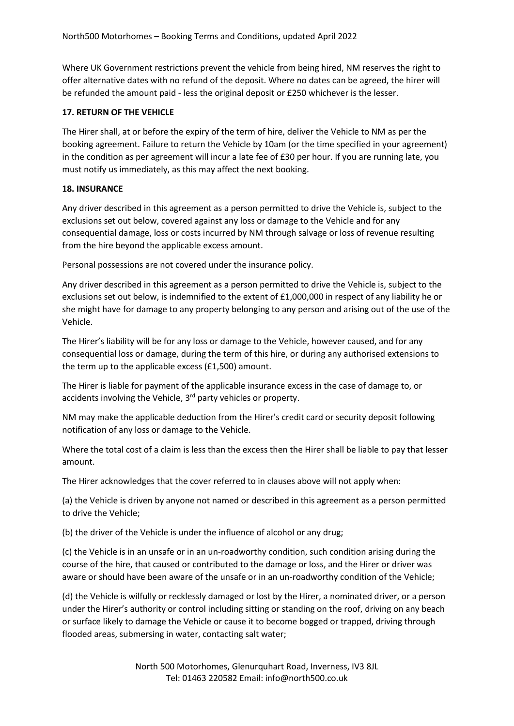Where UK Government restrictions prevent the vehicle from being hired, NM reserves the right to offer alternative dates with no refund of the deposit. Where no dates can be agreed, the hirer will be refunded the amount paid - less the original deposit or £250 whichever is the lesser.

# **17. RETURN OF THE VEHICLE**

The Hirer shall, at or before the expiry of the term of hire, deliver the Vehicle to NM as per the booking agreement. Failure to return the Vehicle by 10am (or the time specified in your agreement) in the condition as per agreement will incur a late fee of £30 per hour. If you are running late, you must notify us immediately, as this may affect the next booking.

# **18. INSURANCE**

Any driver described in this agreement as a person permitted to drive the Vehicle is, subject to the exclusions set out below, covered against any loss or damage to the Vehicle and for any consequential damage, loss or costs incurred by NM through salvage or loss of revenue resulting from the hire beyond the applicable excess amount.

Personal possessions are not covered under the insurance policy.

Any driver described in this agreement as a person permitted to drive the Vehicle is, subject to the exclusions set out below, is indemnified to the extent of £1,000,000 in respect of any liability he or she might have for damage to any property belonging to any person and arising out of the use of the Vehicle.

The Hirer's liability will be for any loss or damage to the Vehicle, however caused, and for any consequential loss or damage, during the term of this hire, or during any authorised extensions to the term up to the applicable excess (£1,500) amount.

The Hirer is liable for payment of the applicable insurance excess in the case of damage to, or accidents involving the Vehicle, 3<sup>rd</sup> party vehicles or property.

NM may make the applicable deduction from the Hirer's credit card or security deposit following notification of any loss or damage to the Vehicle.

Where the total cost of a claim is less than the excess then the Hirer shall be liable to pay that lesser amount.

The Hirer acknowledges that the cover referred to in clauses above will not apply when:

(a) the Vehicle is driven by anyone not named or described in this agreement as a person permitted to drive the Vehicle;

(b) the driver of the Vehicle is under the influence of alcohol or any drug;

(c) the Vehicle is in an unsafe or in an un-roadworthy condition, such condition arising during the course of the hire, that caused or contributed to the damage or loss, and the Hirer or driver was aware or should have been aware of the unsafe or in an un-roadworthy condition of the Vehicle;

(d) the Vehicle is wilfully or recklessly damaged or lost by the Hirer, a nominated driver, or a person under the Hirer's authority or control including sitting or standing on the roof, driving on any beach or surface likely to damage the Vehicle or cause it to become bogged or trapped, driving through flooded areas, submersing in water, contacting salt water;